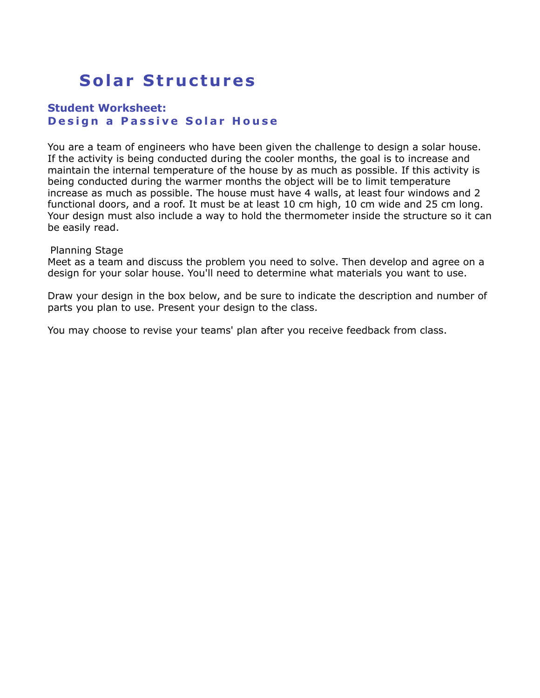# **Solar Structures**

## **Student Worksheet: Design a Passive Solar House**

You are a team of engineers who have been given the challenge to design a solar house. If the activity is being conducted during the cooler months, the goal is to increase and maintain the internal temperature of the house by as much as possible. If this activity is being conducted during the warmer months the object will be to limit temperature increase as much as possible. The house must have 4 walls, at least four windows and 2 functional doors, and a roof. It must be at least 10 cm high, 10 cm wide and 25 cm long. Your design must also include a way to hold the thermometer inside the structure so it can be easily read.

#### Planning Stage

Meet as a team and discuss the problem you need to solve. Then develop and agree on a design for your solar house. You'll need to determine what materials you want to use.

Draw your design in the box below, and be sure to indicate the description and number of parts you plan to use. Present your design to the class.

You may choose to revise your teams' plan after you receive feedback from class.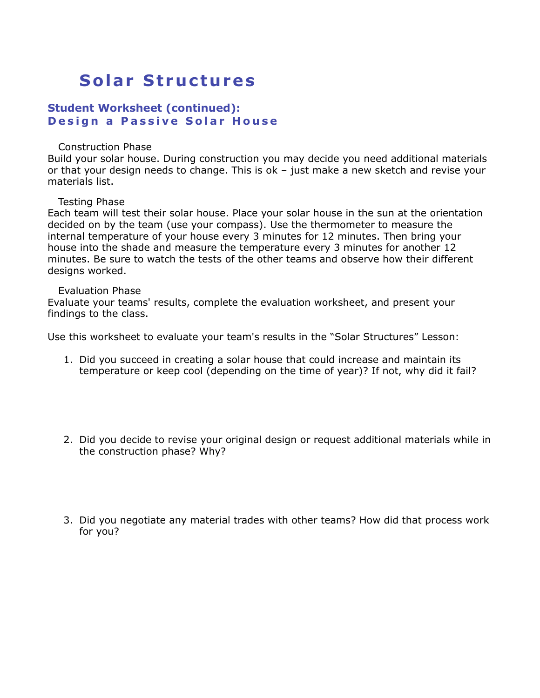## **Solar Structures**

## **Student Worksheet (continued): Design a Passive Solar House**

#### Construction Phase

Build your solar house. During construction you may decide you need additional materials or that your design needs to change. This is ok – just make a new sketch and revise your materials list.

#### Testing Phase

Each team will test their solar house. Place your solar house in the sun at the orientation decided on by the team (use your compass). Use the thermometer to measure the internal temperature of your house every 3 minutes for 12 minutes. Then bring your house into the shade and measure the temperature every 3 minutes for another 12 minutes. Be sure to watch the tests of the other teams and observe how their different designs worked.

#### Evaluation Phase

Evaluate your teams' results, complete the evaluation worksheet, and present your findings to the class.

Use this worksheet to evaluate your team's results in the "Solar Structures" Lesson:

- 1. Did you succeed in creating a solar house that could increase and maintain its temperature or keep cool (depending on the time of year)? If not, why did it fail?
- 2. Did you decide to revise your original design or request additional materials while in the construction phase? Why?
- 3. Did you negotiate any material trades with other teams? How did that process work for you?